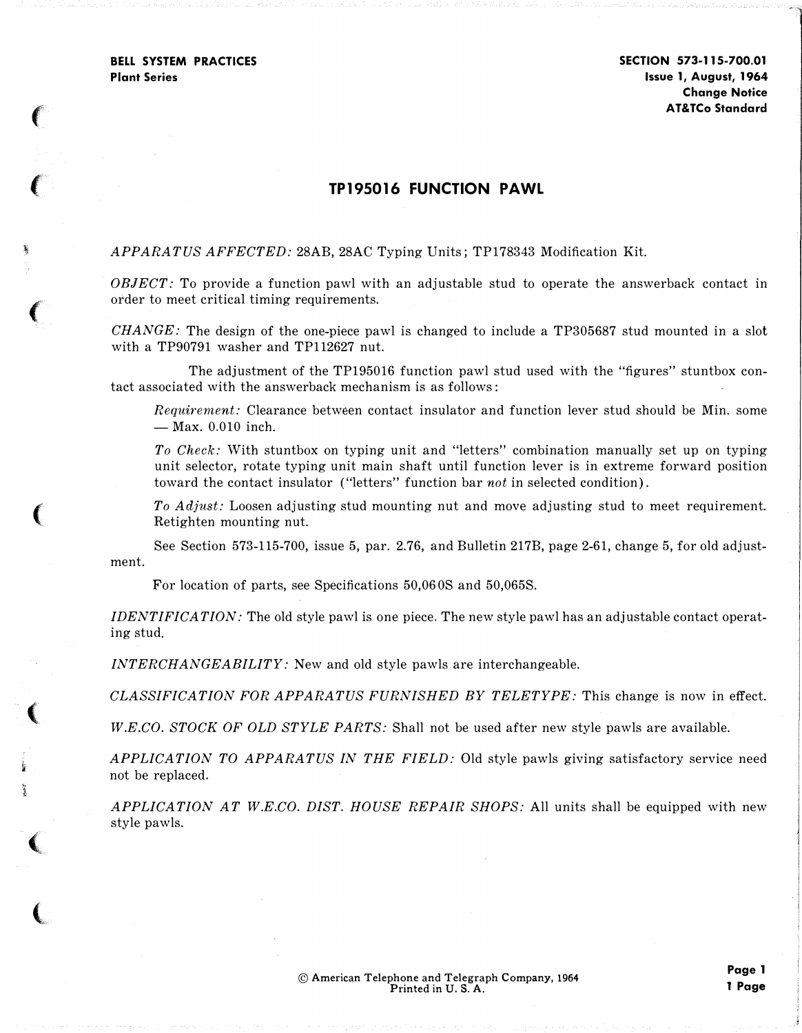$\left( \right)$ 

 $\left($ 

'

 $\left($ 

 $\big($ 

 $\left($ 

� i

 $\big($ 

 $\overline{\mathbb{C}}$ 

SECTION 573-115-700.01 Issue 1, August, 1 964 Change Notice AT&TCo Standard

## TP195016 FUNCTION PAWL

APPARATUS AFFECTED: 28AB, 28AC Typing Units; TP178343 Modification Kit.

 $OBIECT:$  To provide a function pawl with an adjustable stud to operate the answerback contact in order to meet critical timing requirements.

 $CHANGE$ : The design of the one-piece pawl is changed to include a TP305687 stud mounted in a slot with a TP90791 washer and TP112627 nut.

The adjustment of the TP195016 function pawl stud used with the "figures" stuntbox contact associated with the answerback mechanism is as follows:

Requirement: Clearance between contact insulator and function lever stud should be Min. some  $-$  Max. 0.010 inch.

To Check: With stuntbox on typing unit and "letters" combination manually set up on typing unit selector, rotate typing unit main shaft until function lever is in extreme forward position toward the contact insulator ("letters" function bar not in selected condition).

To Adjust: Loosen adjusting stud mounting nut and move adjusting stud to meet requirement. Retighten mounting nut.

ment. See Section 573-115-700, issue 5, par. 2.76, and Bulletin 217B, page 2-61, change 5, for old adjust-

For location of parts, see Specifications 50,06 OS and 50,065S.

IDENTIFICATION: The old style pawl is one piece. The new style pawl has an adjustable contact operating stud.

INTERCHANGEABILITY: New and old style pawls are interchangeable.

CLASSIFICATION FOR APPARATUS FURNISHED BY TELETYPE: This change is now in effect.

W.E.CO. STOCK OF OLD STYLE PARTS: Shall not be used after new style pawls are available.

APPLICATION TO APPARATUS IN THE FIELD: Old style pawls giving satisfactory service need not be replaced.

APPLICATION AT W.E.CO. DIST. HOUSE REPAIR SHOPS: All units shall be equipped with new style pawls.

Page 1 l Page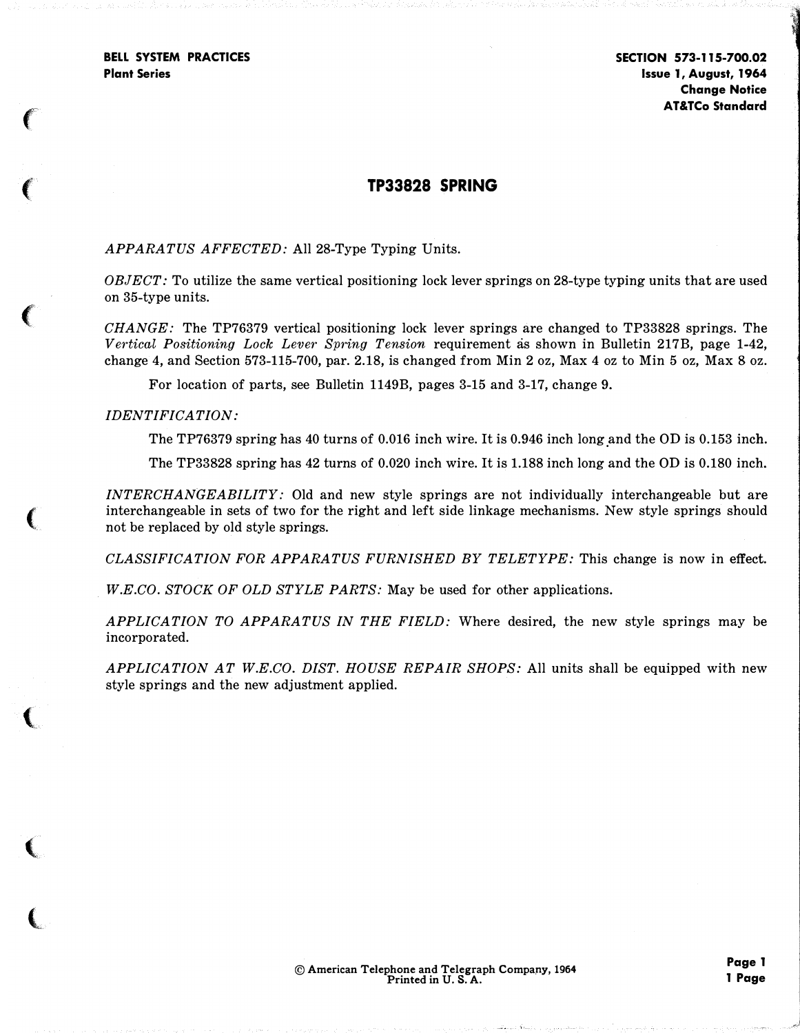$\epsilon$ 

 $\left($ 

 $\big($ 

(

 $\big($ 

 $\blacksquare$ 

 $\big($ 

# TP33828 SPRING

### APPARATUS AFFECTED: All 28-Type Typing Units.

 $OBJECT$ : To utilize the same vertical positioning lock lever springs on 28-type typing units that are used on 35-type units.

CHANGE: The TP76379 vertical positioning lock lever springs are changed to TP33828 springs. The Vertical Positioning Lock Lever Spring Tension requirement as shown in Bulletin 217B, page 1-42, change 4, and Section 573-115-700, par. 2.18, is changed from Min 2 oz, Max 4 oz to Min 5 oz, Max 8 oz.

For location of parts, see Bulletin 1149B, pages 3-15 and 3-17, change 9.

#### IDENTIFICATION:

The TP76379 spring has  $40$  turns of  $0.016$  inch wire. It is  $0.946$  inch long and the OD is  $0.153$  inch.

The TP33828 spring has 42 turns of 0.020 inch wire. It is 1.188 inch long and the OD is 0.180 inch.

INTERCHANGEABILITY: Old and new style springs are not individually interchangeable but are interchangeable in sets of two for the right and left side linkage mechanisms. New style springs should not be replaced by old style springs.

CLASSIFICATION FOR APPARATUS FURNISHED BY TELETYPE: This change is now in effect.

W.E.CO. STOCK OF OLD STYLE PARTS: May be used for other applications.

APPLICATION TO APPARATUS IN THE FIELD: Where desired, the new style springs may be incorporated.

APPLICATION AT W.E.CO. DIST. HOUSE REPAIR SHOPS: All units shall be equipped with new style springs and the new adjustment applied.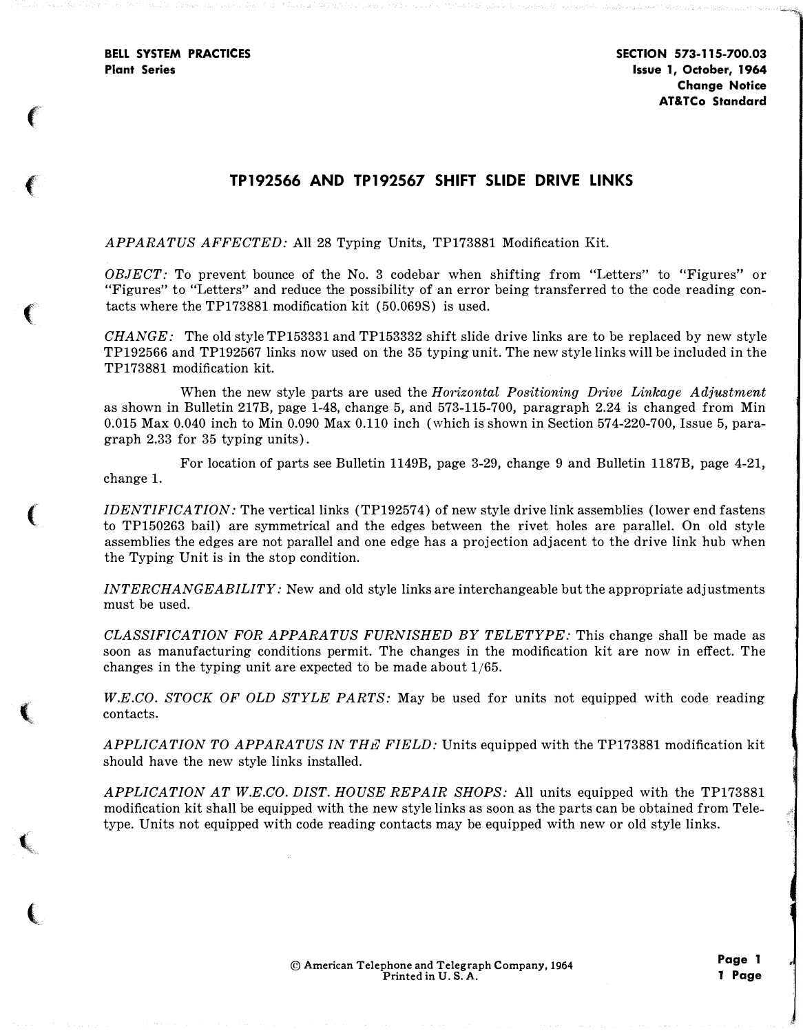$\epsilon$ 

'

 $\left($ 

(

 $\blacksquare$ 

 $\mathbf{C}_\mathbf{q}$ 

 $\big($ 

SECTION 573-115-700.03 Issue 1, October, 1964 Change Notice AT&TCo Standard

# TP192566 AND TP192567 SHIFT SLIDE DRIVE LINKS

APPARATUS AFFECTED: All 28 Typing Units, TP173881 Modification Kit.

OBJECT: To prevent bounce of the No. 3 codebar when shifting from "Letters" to "Figures" or "Figures" to "Letters" and reduce the possibility of an error being transferred to the code reading contacts where the TP173881 modification kit ( 50.069S) is used.

 $CHANGE:$  The old style TP153331 and TP153332 shift slide drive links are to be replaced by new style TP192566 and TP192567 links now used on the 35 typing unit. The new style links will be included in the TP173881 modification kit.

When the new style parts are used the Horizontal Positioning Drive Linkage Adjustment as shown in Bulletin 217B, page 1-48, change 5, and 573-115-700, paragraph 2.24 is changed from Min 0.015 Max 0.040 inch to Min 0.090 Max 0.110 inch (which is shown in Section 574-220-700, Issue 5, paragraph 2.33 for 35 typing units).

For location of parts see Bulletin 1149B, page 3-29, change 9 and Bulletin 1187B, page 4-21, change 1.

IDENTIFICATION: The vertical links (TP192574) of new style drive link assemblies (lower end fastens to TP150263 bail) are symmetrical and the edges between the rivet holes are parallel. On old style assemblies the edges are not parallel and one edge has a projection adjacent to the drive link hub when the Typing Unit is in the stop condition.

INTERCHANGEABILITY: New and old style links are interchangeable but the appropriate adjustments must be used.

CLASSIFICATION FOR APPARATUS FURNISHED BY TELETYPE: This change shall be made as soon as manufacturing conditions permit. The changes in the modification kit are now in effect. The changes in the typing unit are expected to be made about  $1/65$ .

W.E.CO. STOCK OF OLD STYLE PARTS: May be used for units not equipped with code reading contacts.

APPLICATION TO APPARATUS IN THE FIELD: Units equipped with the TP173881 modification kit should have the new style links installed.

APPLICATION AT W.E.CO. DIST. HOUSE REPAIR SHOPS: All units equipped with the TP173881 modification kit shall be equipped with the new style links as soon as the parts can be obtained from Teletype. Units not equipped with code reading contacts may be equipped with new or old style links.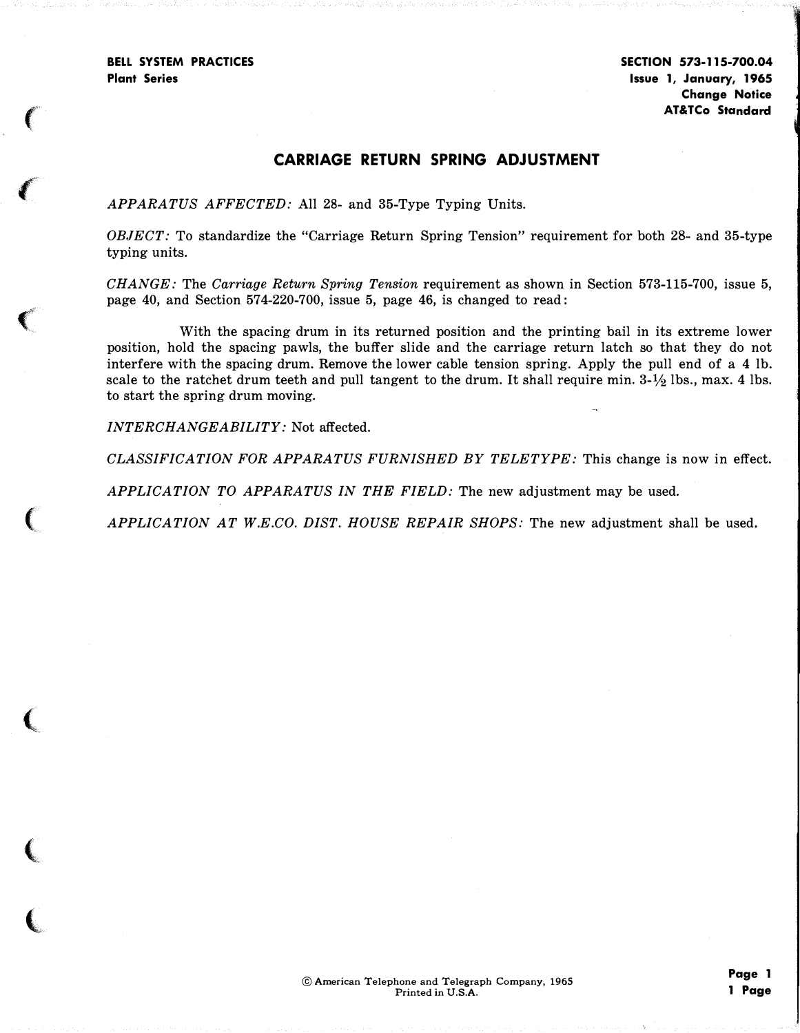''

## CARRIAGE RETURN SPRING ADJUSTMENT

APPARATUS AFFECTED: All 28- and 35-Type Typing Units.

OBJECT: To standardize the "Carriage Return Spring Tension" requirement for both 28- and 35-type typing units.

CHANGE: The Carriage Return Spring Tension requirement as shown in Section 573-115-700, issue 5, page 40, and Section 574-220-700, issue 5, page 46, is changed to read:

With the spacing drum in its returned position and the printing bail in its extreme lower position, hold the spacing pawls, the buffer slide and the carriage return latch so that they do not interfere with the spacing drum. Remove the lower cable tension spring. Apply the pull end of a 4 lb. scale to the ratchet drum teeth and pull tangent to the drum. It shall require min.  $3-1/2$  lbs., max. 4 lbs. to start the spring drum moving.

INTERCHANGEABILITY: Not affected.

CLASSIFICATION FOR APPARATUS FURNISHED BY TELETYPE: This change is now in effect.

APPLICATION TO APPARATUS IN THE FIELD: The new adjustment may be used.

APPLICATION AT W.E.CO. DIST. HOUSE REPAIR SHOPS: The new adjustment shall be used.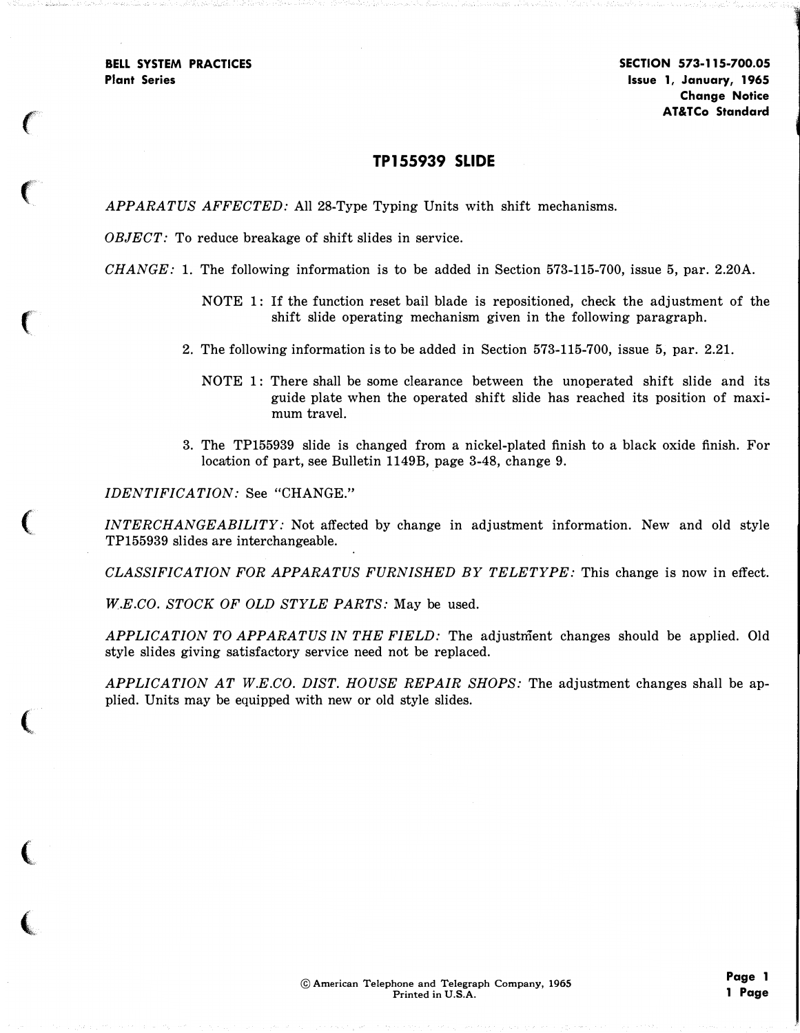*z z*<sub>2</sub>

**CONTRACTOR** 

SECTION 573-115-700.05 Issue 1, January, 1965 Change Notice AT&TCo Standard

### TP155939 SLIDE

APPARATUS AFFECTED: All 28-Type Typing Units with shift mechanisms.

OBJECT: To reduce breakage of shift slides in service.

 $CHANGE: 1$ . The following information is to be added in Section 573-115-700, issue 5, par. 2.20A.

NOTE 1: If the function reset bail blade is repositioned, check the adjustment of the shift slide operating mechanism given in the following paragraph.

2. The following information is to be added in Section 573-115-700, issue 5, par. 2.21.

- NOTE 1: There shall be some clearance between the unoperated shift slide and its guide plate when the operated shift slide has reached its position of maximum travel.
- 3. The TP155939 slide is changed from a nickel-plated finish to a black oxide finish. For location of part, see Bulletin 1149B, page 3-48, change 9.

IDENTIFICATION: See "CHANGE."

INTERCHANGEABILITY: Not affected by change in adjustment information. New and old style TP155939 slides are interchangeable.

CLASSIFICATION FOR APPARATUS FURNISHED BY TELETYPE: This change is now in effect.

W.E.CO. STOCK OF OLD STYLE PARTS: May be used.

APPLICATION TO APPARATUS IN THE FIELD: The adjustment changes should be applied. Old style slides giving satisfactory service need not be replaced.

APPLICATION AT W.E.CO. DIST. HOUSE REPAIR SHOPS: The adjustment changes shall be applied. Units may be equipped with new or old style slides.